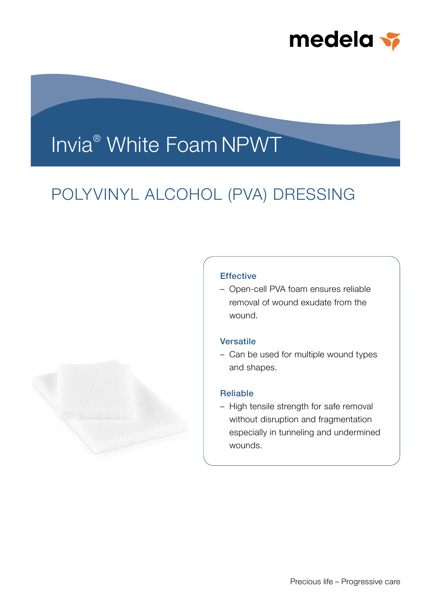

# Invia® White Foam NPWT

## POLYVINYL ALCOHOL (PVA) DRESSING



## **Effective**

– Open-cell PVA foam ensures reliable removal of wound exudate from the wound.

## **Versatile**

– Can be used for multiple wound types and shapes.

## Reliable

– High tensile strength for safe removal without disruption and fragmentation especially in tunneling and undermined wounds.